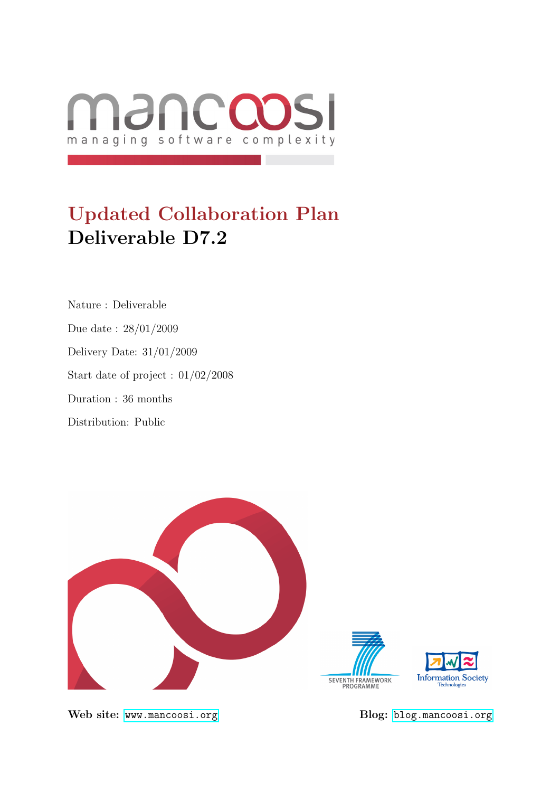

# Updated Collaboration Plan Deliverable D7.2

Nature : Deliverable Due date : 28/01/2009 Delivery Date: 31/01/2009 Start date of project : 01/02/2008 Duration : 36 months Distribution: Public



Web site: <www.mancoosi.org> Blog: <blog.mancoosi.org>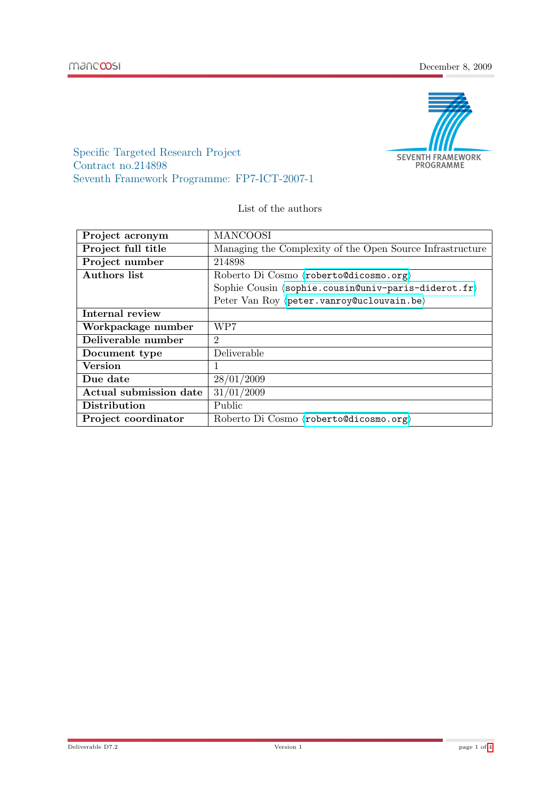

Specific Targeted Research Project Contract no.214898 Seventh Framework Programme: FP7-ICT-2007-1

List of the authors

| Project acronym        | <b>MANCOOSI</b>                                                       |
|------------------------|-----------------------------------------------------------------------|
| Project full title     | Managing the Complexity of the Open Source Infrastructure             |
| Project number         | 214898                                                                |
| Authors list           | Roberto Di Cosmo (roberto@dicosmo.org)                                |
|                        | Sophie Cousin $\langle$ sophie.cousin@univ-paris-diderot.fr $\rangle$ |
|                        | Peter Van Roy (peter. vanroy@uclouvain.be)                            |
| Internal review        |                                                                       |
| Workpackage number     | WP7                                                                   |
| Deliverable number     | $\overline{2}$                                                        |
| Document type          | Deliverable                                                           |
| <b>Version</b>         |                                                                       |
| Due date               | 28/01/2009                                                            |
| Actual submission date | 31/01/2009                                                            |
| Distribution           | Public                                                                |
| Project coordinator    | Roberto Di Cosmo (roberto@dicosmo.org)                                |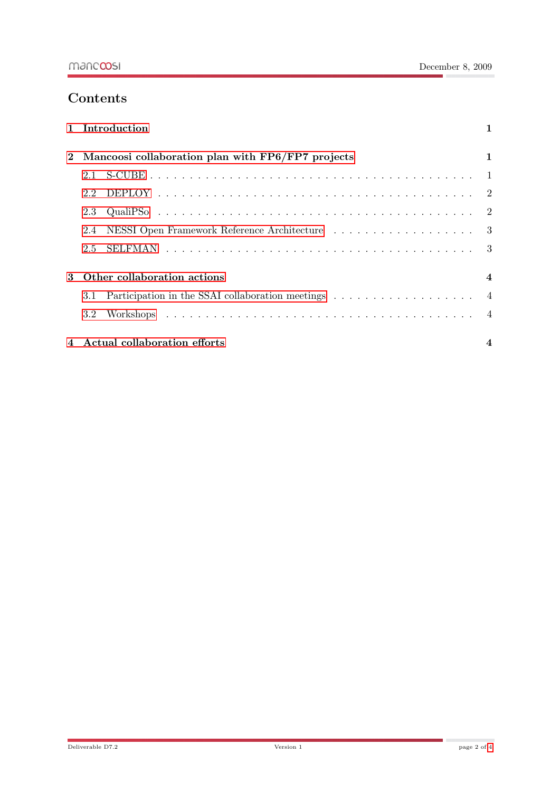## Contents

|          | 1 Introduction                                                                                |                         |
|----------|-----------------------------------------------------------------------------------------------|-------------------------|
| $\bf{2}$ | Mancoosi collaboration plan with FP6/FP7 projects                                             | 1                       |
|          | 2.1                                                                                           |                         |
|          | 2.2                                                                                           |                         |
|          | 2.3                                                                                           |                         |
|          | 2.4                                                                                           |                         |
|          | $2.5^{\circ}$                                                                                 |                         |
| 3        | Other collaboration actions                                                                   | $\overline{\mathbf{4}}$ |
|          | Participation in the SSAI collaboration meetings $\dots \dots \dots \dots \dots \dots$<br>3.1 |                         |
|          | 3.2                                                                                           |                         |
|          | 4 Actual collaboration efforts                                                                |                         |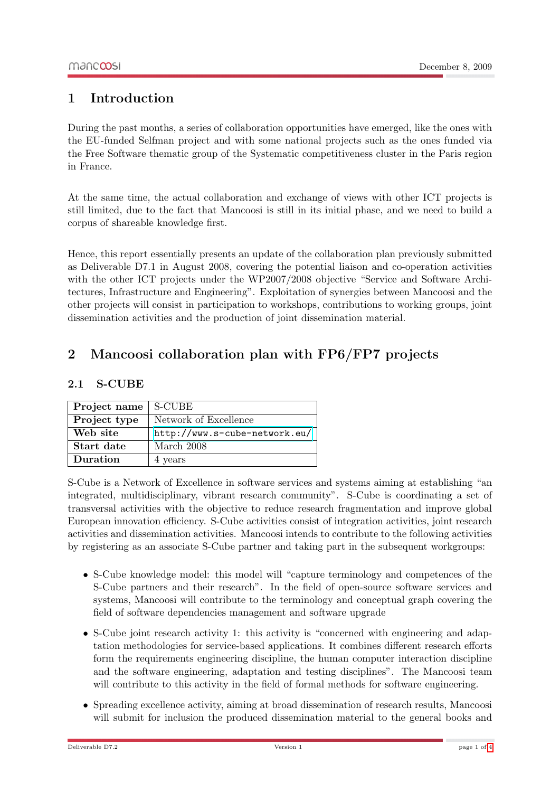## <span id="page-3-0"></span>1 Introduction

During the past months, a series of collaboration opportunities have emerged, like the ones with the EU-funded Selfman project and with some national projects such as the ones funded via the Free Software thematic group of the Systematic competitiveness cluster in the Paris region in France.

At the same time, the actual collaboration and exchange of views with other ICT projects is still limited, due to the fact that Mancoosi is still in its initial phase, and we need to build a corpus of shareable knowledge first.

Hence, this report essentially presents an update of the collaboration plan previously submitted as Deliverable D7.1 in August 2008, covering the potential liaison and co-operation activities with the other ICT projects under the WP2007/2008 objective "Service and Software Architectures, Infrastructure and Engineering". Exploitation of synergies between Mancoosi and the other projects will consist in participation to workshops, contributions to working groups, joint dissemination activities and the production of joint dissemination material.

## <span id="page-3-1"></span>2 Mancoosi collaboration plan with FP6/FP7 projects

#### <span id="page-3-2"></span>2.1 S-CUBE

| Project name | S-CUBE                        |
|--------------|-------------------------------|
| Project type | Network of Excellence         |
| Web site     | http://www.s-cube-network.eu/ |
| Start date   | March 2008                    |
| Duration     | 4 years                       |

S-Cube is a Network of Excellence in software services and systems aiming at establishing "an integrated, multidisciplinary, vibrant research community". S-Cube is coordinating a set of transversal activities with the objective to reduce research fragmentation and improve global European innovation efficiency. S-Cube activities consist of integration activities, joint research activities and dissemination activities. Mancoosi intends to contribute to the following activities by registering as an associate S-Cube partner and taking part in the subsequent workgroups:

- S-Cube knowledge model: this model will "capture terminology and competences of the S-Cube partners and their research". In the field of open-source software services and systems, Mancoosi will contribute to the terminology and conceptual graph covering the field of software dependencies management and software upgrade
- S-Cube joint research activity 1: this activity is "concerned with engineering and adaptation methodologies for service-based applications. It combines different research efforts form the requirements engineering discipline, the human computer interaction discipline and the software engineering, adaptation and testing disciplines". The Mancoosi team will contribute to this activity in the field of formal methods for software engineering.
- Spreading excellence activity, aiming at broad dissemination of research results, Mancoosi will submit for inclusion the produced dissemination material to the general books and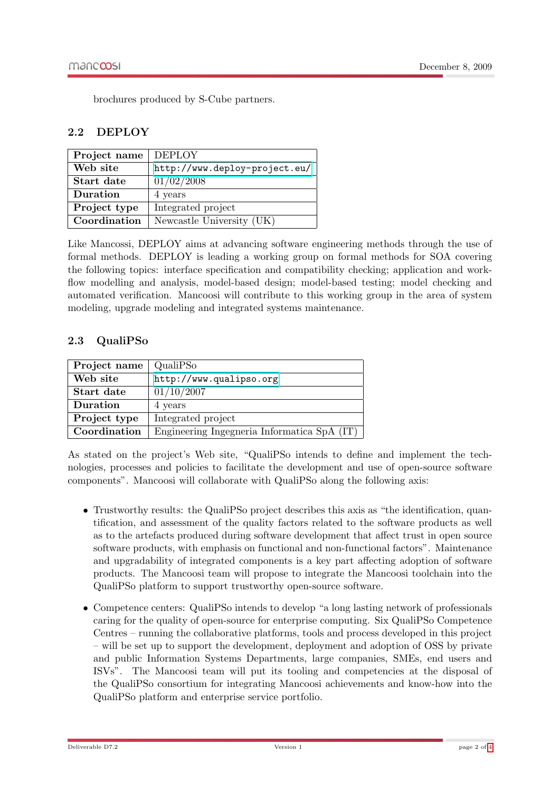brochures produced by S-Cube partners.

#### <span id="page-4-0"></span>2.2 DEPLOY

| Project name | <b>DEPLOY</b>                 |
|--------------|-------------------------------|
| Web site     | http://www.deploy-project.eu/ |
| Start date   | 01/02/2008                    |
| Duration     | 4 years                       |
| Project type | Integrated project            |
| Coordination | Newcastle University (UK)     |

Like Mancossi, DEPLOY aims at advancing software engineering methods through the use of formal methods. DEPLOY is leading a working group on formal methods for SOA covering the following topics: interface specification and compatibility checking; application and workflow modelling and analysis, model-based design; model-based testing; model checking and automated verification. Mancoosi will contribute to this working group in the area of system modeling, upgrade modeling and integrated systems maintenance.

#### <span id="page-4-1"></span>2.3 QualiPSo

| Project name | QualiPSo                                    |
|--------------|---------------------------------------------|
| Web site     | http://www.qualipso.org                     |
| Start date   | 01/10/2007                                  |
| Duration     | 4 years                                     |
| Project type | Integrated project                          |
| Coordination | Engineering Ingegneria Informatica SpA (IT) |

As stated on the project's Web site, "QualiPSo intends to define and implement the technologies, processes and policies to facilitate the development and use of open-source software components". Mancoosi will collaborate with QualiPSo along the following axis:

- Trustworthy results: the QualiPSo project describes this axis as "the identification, quantification, and assessment of the quality factors related to the software products as well as to the artefacts produced during software development that affect trust in open source software products, with emphasis on functional and non-functional factors". Maintenance and upgradability of integrated components is a key part affecting adoption of software products. The Mancoosi team will propose to integrate the Mancoosi toolchain into the QualiPSo platform to support trustworthy open-source software.
- Competence centers: QualiPSo intends to develop "a long lasting network of professionals caring for the quality of open-source for enterprise computing. Six QualiPSo Competence Centres – running the collaborative platforms, tools and process developed in this project – will be set up to support the development, deployment and adoption of OSS by private and public Information Systems Departments, large companies, SMEs, end users and ISVs". The Mancoosi team will put its tooling and competencies at the disposal of the QualiPSo consortium for integrating Mancoosi achievements and know-how into the QualiPSo platform and enterprise service portfolio.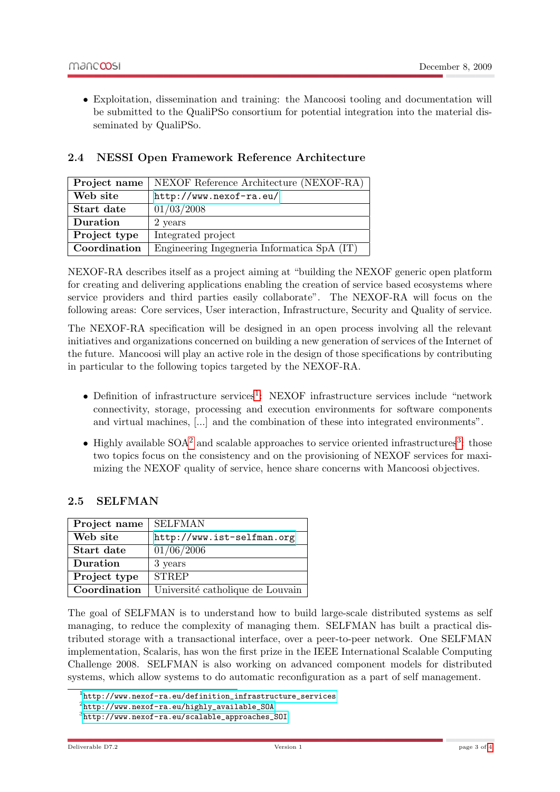• Exploitation, dissemination and training: the Mancoosi tooling and documentation will be submitted to the QualiPSo consortium for potential integration into the material disseminated by QualiPSo.

| Project name | NEXOF Reference Architecture (NEXOF-RA)     |
|--------------|---------------------------------------------|
| Web site     | http://www.nexof-ra.eu/                     |
| Start date   | 01/03/2008                                  |
| Duration     | 2 years                                     |
| Project type | Integrated project                          |
| Coordination | Engineering Ingegneria Informatica SpA (IT) |

#### <span id="page-5-0"></span>2.4 NESSI Open Framework Reference Architecture

NEXOF-RA describes itself as a project aiming at "building the NEXOF generic open platform for creating and delivering applications enabling the creation of service based ecosystems where service providers and third parties easily collaborate". The NEXOF-RA will focus on the following areas: Core services, User interaction, Infrastructure, Security and Quality of service.

The NEXOF-RA specification will be designed in an open process involving all the relevant initiatives and organizations concerned on building a new generation of services of the Internet of the future. Mancoosi will play an active role in the design of those specifications by contributing in particular to the following topics targeted by the NEXOF-RA.

- Definition of infrastructure services<sup>[1](#page-5-2)</sup>: NEXOF infrastructure services include "network connectivity, storage, processing and execution environments for software components and virtual machines, [...] and the combination of these into integrated environments".
- Highly available  $SOA<sup>2</sup>$  $SOA<sup>2</sup>$  $SOA<sup>2</sup>$  and scalable approaches to service oriented infrastructures<sup>[3](#page-5-4)</sup>: those two topics focus on the consistency and on the provisioning of NEXOF services for maximizing the NEXOF quality of service, hence share concerns with Mancoosi objectives.

#### <span id="page-5-1"></span>2.5 SELFMAN

| Project name | <b>SELFMAN</b>                   |
|--------------|----------------------------------|
| Web site     | http://www.ist-selfman.org       |
| Start date   | 01/06/2006                       |
| Duration     | 3 years                          |
| Project type | <b>STREP</b>                     |
| Coordination | Université catholique de Louvain |

The goal of SELFMAN is to understand how to build large-scale distributed systems as self managing, to reduce the complexity of managing them. SELFMAN has built a practical distributed storage with a transactional interface, over a peer-to-peer network. One SELFMAN implementation, Scalaris, has won the first prize in the IEEE International Scalable Computing Challenge 2008. SELFMAN is also working on advanced component models for distributed systems, which allow systems to do automatic reconfiguration as a part of self management.

<span id="page-5-2"></span><sup>1</sup> [http://www.nexof-ra.eu/definition\\_infrastructure\\_services](http://www.nexof-ra.eu/definition_infrastructure_services)

<span id="page-5-3"></span> $^{2}$ [http://www.nexof-ra.eu/highly\\_available\\_SOA](http://www.nexof-ra.eu/highly_available_SOA)

<span id="page-5-4"></span> $^3$ [http://www.nexof-ra.eu/scalable\\_approaches\\_SOI](http://www.nexof-ra.eu/scalable_approaches_SOI)